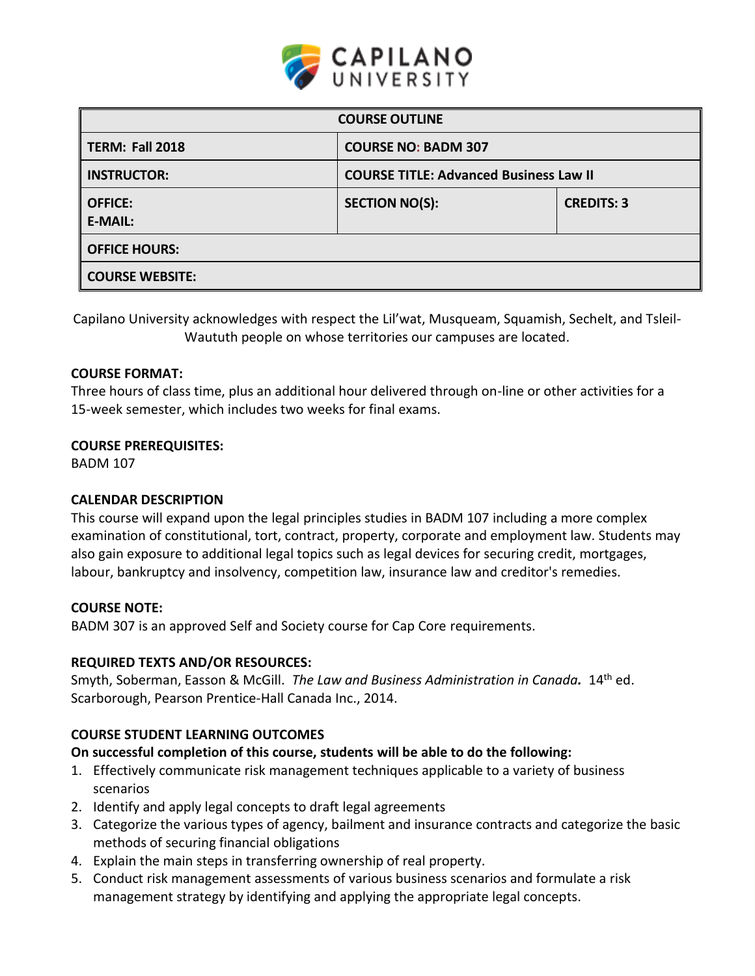

| <b>COURSE OUTLINE</b>            |                                               |                   |  |  |  |
|----------------------------------|-----------------------------------------------|-------------------|--|--|--|
| <b>TERM: Fall 2018</b>           | <b>COURSE NO: BADM 307</b>                    |                   |  |  |  |
| <b>INSTRUCTOR:</b>               | <b>COURSE TITLE: Advanced Business Law II</b> |                   |  |  |  |
| <b>OFFICE:</b><br><b>E-MAIL:</b> | <b>SECTION NO(S):</b>                         | <b>CREDITS: 3</b> |  |  |  |
| <b>OFFICE HOURS:</b>             |                                               |                   |  |  |  |
| <b>COURSE WEBSITE:</b>           |                                               |                   |  |  |  |

Capilano University acknowledges with respect the Lil'wat, Musqueam, Squamish, Sechelt, and Tsleil-Waututh people on whose territories our campuses are located.

## **COURSE FORMAT:**

Three hours of class time, plus an additional hour delivered through on-line or other activities for a 15-week semester, which includes two weeks for final exams.

### **COURSE PREREQUISITES:**

BADM 107

### **CALENDAR DESCRIPTION**

This course will expand upon the legal principles studies in BADM 107 including a more complex examination of constitutional, tort, contract, property, corporate and employment law. Students may also gain exposure to additional legal topics such as legal devices for securing credit, mortgages, labour, bankruptcy and insolvency, competition law, insurance law and creditor's remedies.

### **COURSE NOTE:**

BADM 307 is an approved Self and Society course for Cap Core requirements.

### **REQUIRED TEXTS AND/OR RESOURCES:**

Smyth, Soberman, Easson & McGill. *The Law and Business Administration in Canada.* 14th ed. Scarborough, Pearson Prentice-Hall Canada Inc., 2014.

# **COURSE STUDENT LEARNING OUTCOMES**

### **On successful completion of this course, students will be able to do the following:**

- 1. Effectively communicate risk management techniques applicable to a variety of business scenarios
- 2. Identify and apply legal concepts to draft legal agreements
- 3. Categorize the various types of agency, bailment and insurance contracts and categorize the basic methods of securing financial obligations
- 4. Explain the main steps in transferring ownership of real property.
- 5. Conduct risk management assessments of various business scenarios and formulate a risk management strategy by identifying and applying the appropriate legal concepts.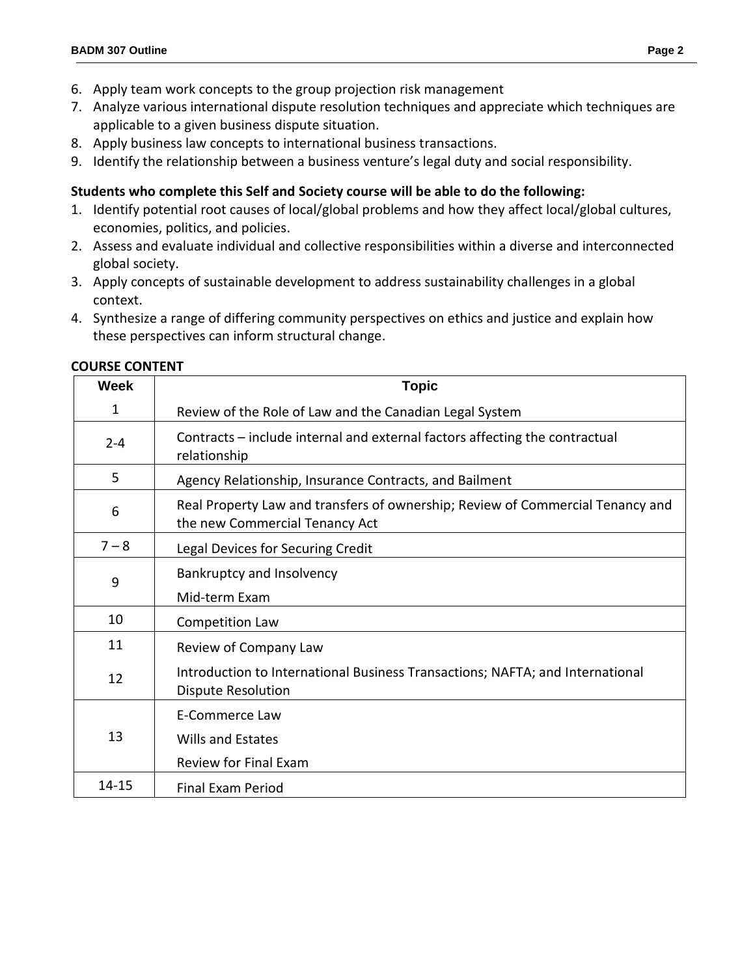- 6. Apply team work concepts to the group projection risk management
- 7. Analyze various international dispute resolution techniques and appreciate which techniques are applicable to a given business dispute situation.
- 8. Apply business law concepts to international business transactions.
- 9. Identify the relationship between a business venture's legal duty and social responsibility.

# **Students who complete this Self and Society course will be able to do the following:**

- 1. Identify potential root causes of local/global problems and how they affect local/global cultures, economies, politics, and policies.
- 2. Assess and evaluate individual and collective responsibilities within a diverse and interconnected global society.
- 3. Apply concepts of sustainable development to address sustainability challenges in a global context.
- 4. Synthesize a range of differing community perspectives on ethics and justice and explain how these perspectives can inform structural change.

| <b>Week</b>  | <b>Topic</b>                                                                                                     |  |  |  |  |
|--------------|------------------------------------------------------------------------------------------------------------------|--|--|--|--|
| $\mathbf{1}$ | Review of the Role of Law and the Canadian Legal System                                                          |  |  |  |  |
| $2 - 4$      | Contracts – include internal and external factors affecting the contractual<br>relationship                      |  |  |  |  |
| 5            | Agency Relationship, Insurance Contracts, and Bailment                                                           |  |  |  |  |
| 6            | Real Property Law and transfers of ownership; Review of Commercial Tenancy and<br>the new Commercial Tenancy Act |  |  |  |  |
| $7 - 8$      | Legal Devices for Securing Credit                                                                                |  |  |  |  |
| 9            | Bankruptcy and Insolvency<br>Mid-term Exam                                                                       |  |  |  |  |
| 10           | Competition Law                                                                                                  |  |  |  |  |
| 11           | Review of Company Law                                                                                            |  |  |  |  |
| 12           | Introduction to International Business Transactions; NAFTA; and International<br><b>Dispute Resolution</b>       |  |  |  |  |
| 13           | E-Commerce Law<br>Wills and Estates<br>Review for Final Exam                                                     |  |  |  |  |
| 14-15        | <b>Final Exam Period</b>                                                                                         |  |  |  |  |

### **COURSE CONTENT**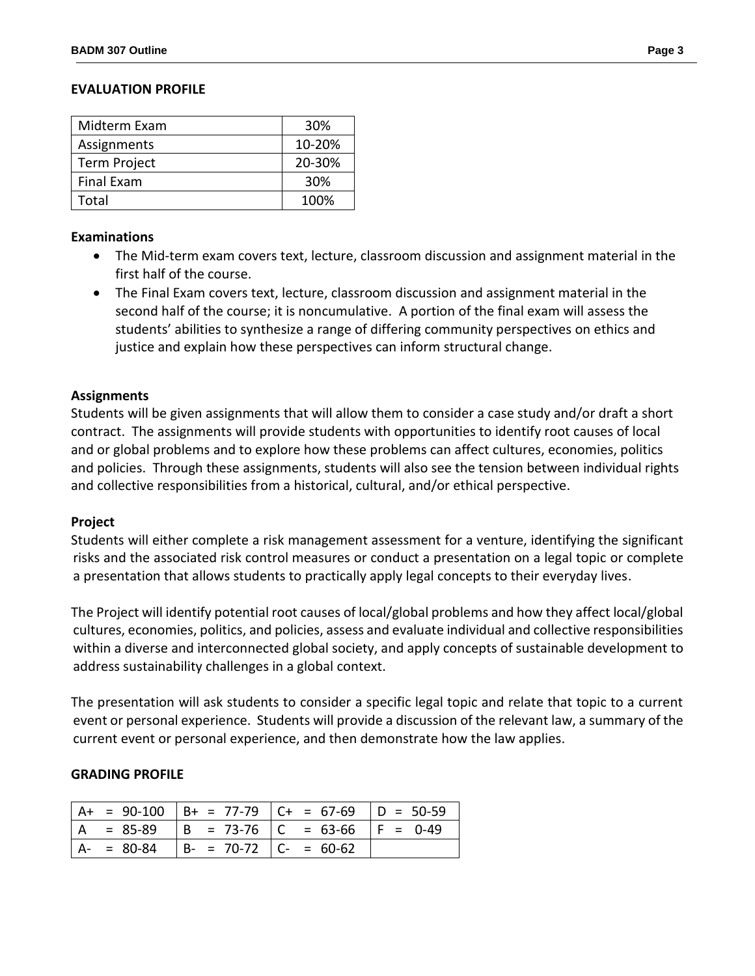## **EVALUATION PROFILE**

| Midterm Exam | 30%    |
|--------------|--------|
| Assignments  | 10-20% |
| Term Project | 20-30% |
| Final Exam   | 30%    |
| Total        | 100%   |

### **Examinations**

- The Mid-term exam covers text, lecture, classroom discussion and assignment material in the first half of the course.
- The Final Exam covers text, lecture, classroom discussion and assignment material in the second half of the course; it is noncumulative. A portion of the final exam will assess the students' abilities to synthesize a range of differing community perspectives on ethics and justice and explain how these perspectives can inform structural change.

## **Assignments**

Students will be given assignments that will allow them to consider a case study and/or draft a short contract. The assignments will provide students with opportunities to identify root causes of local and or global problems and to explore how these problems can affect cultures, economies, politics and policies. Through these assignments, students will also see the tension between individual rights and collective responsibilities from a historical, cultural, and/or ethical perspective.

### **Project**

Students will either complete a risk management assessment for a venture, identifying the significant risks and the associated risk control measures or conduct a presentation on a legal topic or complete a presentation that allows students to practically apply legal concepts to their everyday lives.

The Project will identify potential root causes of local/global problems and how they affect local/global cultures, economies, politics, and policies, assess and evaluate individual and collective responsibilities within a diverse and interconnected global society, and apply concepts of sustainable development to address sustainability challenges in a global context.

The presentation will ask students to consider a specific legal topic and relate that topic to a current event or personal experience. Students will provide a discussion of the relevant law, a summary of the current event or personal experience, and then demonstrate how the law applies.

### **GRADING PROFILE**

|   |             |                         | $ A+ = 90-100$ $ B+ = 77-79$ $ C+ = 67-69$ $ D = 50-59$ |  |
|---|-------------|-------------------------|---------------------------------------------------------|--|
| A | $= 85-89$   |                         | $ B = 73-76$ $ C = 63-66$ $ F = 0-49$                   |  |
|   | $A - 80-84$ | $ B- = 70-72 C = 60-62$ |                                                         |  |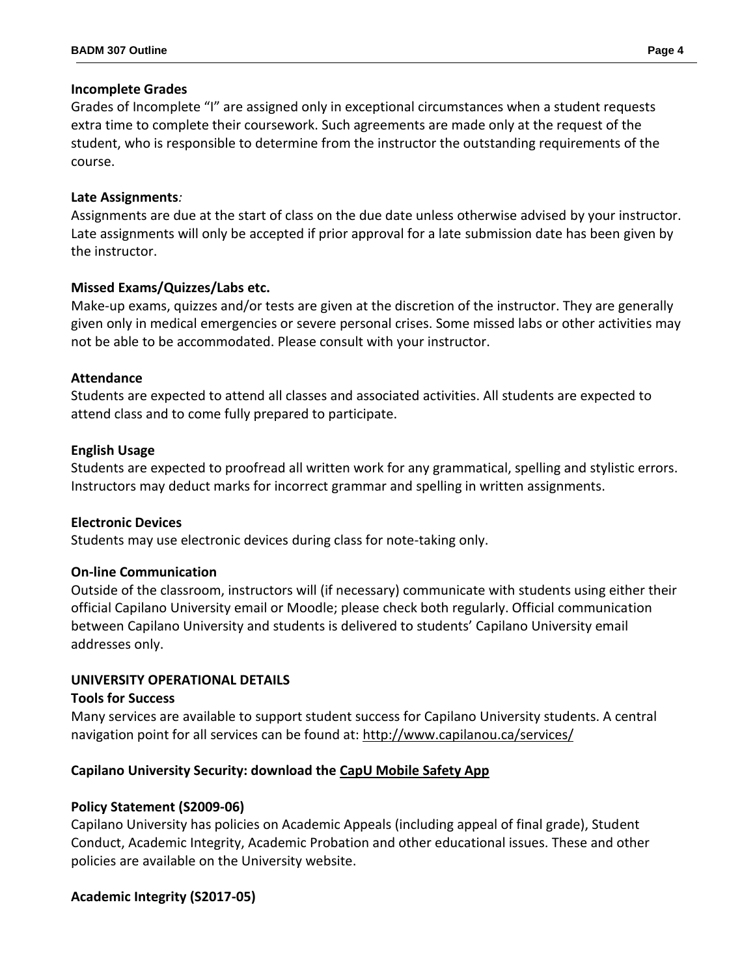## **Incomplete Grades**

Grades of Incomplete "I" are assigned only in exceptional circumstances when a student requests extra time to complete their coursework. Such agreements are made only at the request of the student, who is responsible to determine from the instructor the outstanding requirements of the course.

## **Late Assignments***:*

Assignments are due at the start of class on the due date unless otherwise advised by your instructor. Late assignments will only be accepted if prior approval for a late submission date has been given by the instructor.

# **Missed Exams/Quizzes/Labs etc.**

Make-up exams, quizzes and/or tests are given at the discretion of the instructor. They are generally given only in medical emergencies or severe personal crises. Some missed labs or other activities may not be able to be accommodated. Please consult with your instructor.

## **Attendance**

Students are expected to attend all classes and associated activities. All students are expected to attend class and to come fully prepared to participate.

# **English Usage**

Students are expected to proofread all written work for any grammatical, spelling and stylistic errors. Instructors may deduct marks for incorrect grammar and spelling in written assignments.

# **Electronic Devices**

Students may use electronic devices during class for note-taking only.

# **On-line Communication**

Outside of the classroom, instructors will (if necessary) communicate with students using either their official Capilano University email or Moodle; please check both regularly. Official communication between Capilano University and students is delivered to students' Capilano University email addresses only.

# **UNIVERSITY OPERATIONAL DETAILS**

### **Tools for Success**

Many services are available to support student success for Capilano University students. A central navigation point for all services can be found at:<http://www.capilanou.ca/services/>

# **Capilano University Security: download the [CapU Mobile Safety App](https://www.capilanou.ca/services/safety-security/CapU-Mobile-Safety-App/)**

# **Policy Statement (S2009-06)**

Capilano University has policies on Academic Appeals (including appeal of final grade), Student Conduct, Academic Integrity, Academic Probation and other educational issues. These and other policies are available on the University website.

# **Academic Integrity (S2017-05)**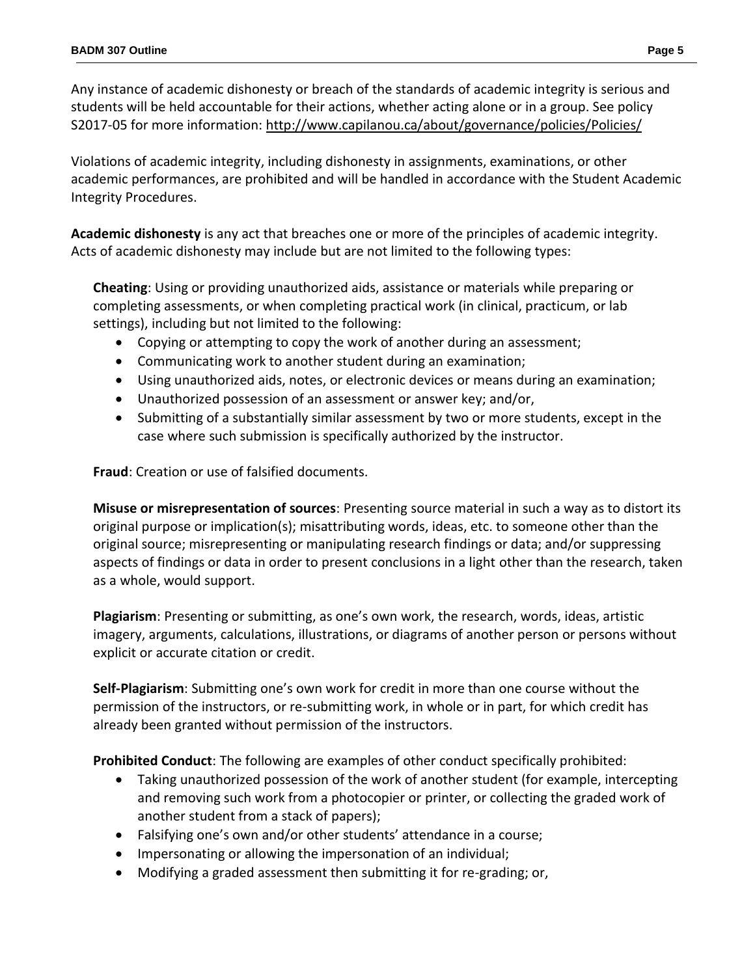Any instance of academic dishonesty or breach of the standards of academic integrity is serious and students will be held accountable for their actions, whether acting alone or in a group. See policy S2017-05 for more information:<http://www.capilanou.ca/about/governance/policies/Policies/>

Violations of academic integrity, including dishonesty in assignments, examinations, or other academic performances, are prohibited and will be handled in accordance with the Student Academic Integrity Procedures.

**Academic dishonesty** is any act that breaches one or more of the principles of academic integrity. Acts of academic dishonesty may include but are not limited to the following types:

**Cheating**: Using or providing unauthorized aids, assistance or materials while preparing or completing assessments, or when completing practical work (in clinical, practicum, or lab settings), including but not limited to the following:

- Copying or attempting to copy the work of another during an assessment;
- Communicating work to another student during an examination;
- Using unauthorized aids, notes, or electronic devices or means during an examination;
- Unauthorized possession of an assessment or answer key; and/or,
- Submitting of a substantially similar assessment by two or more students, except in the case where such submission is specifically authorized by the instructor.

**Fraud**: Creation or use of falsified documents.

**Misuse or misrepresentation of sources**: Presenting source material in such a way as to distort its original purpose or implication(s); misattributing words, ideas, etc. to someone other than the original source; misrepresenting or manipulating research findings or data; and/or suppressing aspects of findings or data in order to present conclusions in a light other than the research, taken as a whole, would support.

**Plagiarism**: Presenting or submitting, as one's own work, the research, words, ideas, artistic imagery, arguments, calculations, illustrations, or diagrams of another person or persons without explicit or accurate citation or credit.

**Self-Plagiarism**: Submitting one's own work for credit in more than one course without the permission of the instructors, or re-submitting work, in whole or in part, for which credit has already been granted without permission of the instructors.

**Prohibited Conduct**: The following are examples of other conduct specifically prohibited:

- Taking unauthorized possession of the work of another student (for example, intercepting and removing such work from a photocopier or printer, or collecting the graded work of another student from a stack of papers);
- Falsifying one's own and/or other students' attendance in a course;
- Impersonating or allowing the impersonation of an individual;
- Modifying a graded assessment then submitting it for re-grading; or,